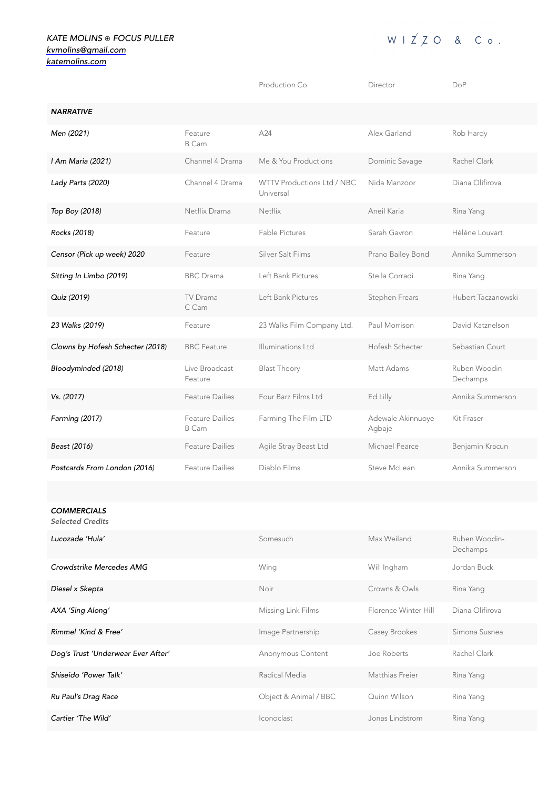## *KATE MOLINS* ⦿ *FOCUS PULLER [kvmolins@gmail.com](mailto:kvmolins@gmail.com) [katemolins.com](http://katemolins.com)*

|                                               |                                        | Production Co.                          | Director                     | DoP                       |
|-----------------------------------------------|----------------------------------------|-----------------------------------------|------------------------------|---------------------------|
| <b>NARRATIVE</b>                              |                                        |                                         |                              |                           |
| Men (2021)                                    | Feature<br>B Cam                       | A24                                     | Alex Garland                 | Rob Hardy                 |
| I Am Maria (2021)                             | Channel 4 Drama                        | Me & You Productions                    | Dominic Savage               | Rachel Clark              |
| Lady Parts (2020)                             | Channel 4 Drama                        | WTTV Productions Ltd / NBC<br>Universal | Nida Manzoor                 | Diana Olifirova           |
| Top Boy (2018)                                | Netflix Drama                          | Netflix                                 | Aneil Karia                  | Rina Yang                 |
| Rocks (2018)                                  | Feature                                | <b>Fable Pictures</b>                   | Sarah Gavron                 | Hélène Louvart            |
| Censor (Pick up week) 2020                    | Feature                                | Silver Salt Films                       | Prano Bailey Bond            | Annika Summerson          |
| Sitting In Limbo (2019)                       | <b>BBC</b> Drama                       | Left Bank Pictures                      | Stella Corradi               | Rina Yang                 |
| Quiz (2019)                                   | TV Drama<br>C Cam                      | Left Bank Pictures                      | Stephen Frears               | Hubert Taczanowski        |
| 23 Walks (2019)                               | Feature                                | 23 Walks Film Company Ltd.              | Paul Morrison                | David Katznelson          |
| Clowns by Hofesh Schecter (2018)              | <b>BBC</b> Feature                     | Illuminations Ltd                       | Hofesh Schecter              | Sebastian Court           |
| Bloodyminded (2018)                           | Live Broadcast<br>Feature              | <b>Blast Theory</b>                     | Matt Adams                   | Ruben Woodin-<br>Dechamps |
| Vs. (2017)                                    | <b>Feature Dailies</b>                 | Four Barz Films Ltd                     | Ed Lilly                     | Annika Summerson          |
| Farming (2017)                                | <b>Feature Dailies</b><br><b>B</b> Cam | Farming The Film LTD                    | Adewale Akinnuoye-<br>Agbaje | Kit Fraser                |
| Beast (2016)                                  | <b>Feature Dailies</b>                 | Agile Stray Beast Ltd                   | Michael Pearce               | Benjamin Kracun           |
| Postcards From London (2016)                  | <b>Feature Dailies</b>                 | Diablo Films                            | Steve McLean                 | Annika Summerson          |
|                                               |                                        |                                         |                              |                           |
| <b>COMMERCIALS</b><br><b>Selected Credits</b> |                                        |                                         |                              |                           |

| Lucozade 'Hula'                    | Somesuch              | Max Weiland          | Ruben Woodin-<br>Dechamps |
|------------------------------------|-----------------------|----------------------|---------------------------|
| Crowdstrike Mercedes AMG           | Wing                  | Will Ingham          | Jordan Buck               |
| Diesel x Skepta                    | <b>Noir</b>           | Crowns & Owls        | Rina Yang                 |
| AXA 'Sing Along'                   | Missing Link Films    | Florence Winter Hill | Diana Olifirova           |
| Rimmel 'Kind & Free'               | Image Partnership     | Casey Brookes        | Simona Susnea             |
| Dog's Trust 'Underwear Ever After' | Anonymous Content     | Joe Roberts          | Rachel Clark              |
| Shiseido 'Power Talk'              | Radical Media         | Matthias Freier      | Rina Yang                 |
| Ru Paul's Drag Race                | Object & Animal / BBC | Quinn Wilson         | Rina Yang                 |
| Cartier 'The Wild'                 | Iconoclast            | Jonas Lindstrom      | Rina Yang                 |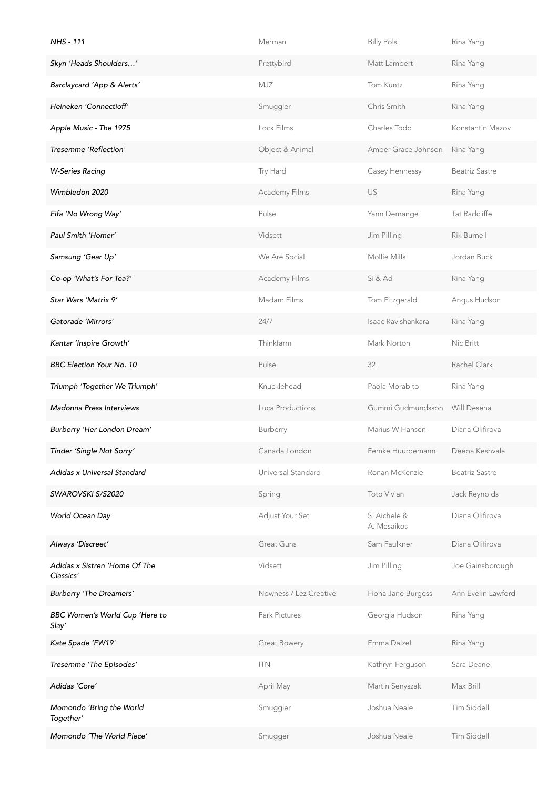| <b>NHS - 111</b>                           | Merman                 | <b>Billy Pols</b>           | Rina Yang             |
|--------------------------------------------|------------------------|-----------------------------|-----------------------|
| Skyn 'Heads Shoulders'                     | Prettybird             | Matt Lambert                | Rina Yang             |
| Barclaycard 'App & Alerts'                 | MJZ                    | Tom Kuntz                   | Rina Yang             |
| Heineken 'Connectioff'                     | Smuggler               | Chris Smith                 | Rina Yang             |
| Apple Music - The 1975                     | Lock Films             | Charles Todd                | Konstantin Mazov      |
| Tresemme 'Reflection'                      | Object & Animal        | Amber Grace Johnson         | Rina Yang             |
| <b>W-Series Racing</b>                     | Try Hard               | Casey Hennessy              | <b>Beatriz Sastre</b> |
| Wimbledon 2020                             | Academy Films          | US                          | Rina Yang             |
| Fifa 'No Wrong Way'                        | Pulse                  | Yann Demange                | Tat Radcliffe         |
| Paul Smith 'Homer'                         | Vidsett                | Jim Pilling                 | Rik Burnell           |
| Samsung 'Gear Up'                          | We Are Social          | Mollie Mills                | Jordan Buck           |
| Co-op 'What's For Tea?'                    | Academy Films          | Si & Ad                     | Rina Yang             |
| Star Wars 'Matrix 9'                       | Madam Films            | Tom Fitzgerald              | Angus Hudson          |
| Gatorade 'Mirrors'                         | 24/7                   | Isaac Ravishankara          | Rina Yang             |
| Kantar 'Inspire Growth'                    | Thinkfarm              | Mark Norton                 | Nic Britt             |
| <b>BBC Election Your No. 10</b>            | Pulse                  | 32                          | Rachel Clark          |
| Triumph 'Together We Triumph'              | Knucklehead            | Paola Morabito              | Rina Yang             |
| Madonna Press Interviews                   | Luca Productions       | Gummi Gudmundsson           | Will Desena           |
| Burberry 'Her London Dream'                | Burberry               | Marius W Hansen             | Diana Olifirova       |
| Tinder 'Single Not Sorry'                  | Canada London          | Femke Huurdemann            | Deepa Keshvala        |
| Adidas x Universal Standard                | Universal Standard     | Ronan McKenzie              | Beatriz Sastre        |
| <b>SWAROVSKI S/S2020</b>                   | Spring                 | Toto Vivian                 | Jack Reynolds         |
| World Ocean Day                            | Adjust Your Set        | S. Aichele &<br>A. Mesaikos | Diana Olifirova       |
| Always 'Discreet'                          | <b>Great Guns</b>      | Sam Faulkner                | Diana Olifirova       |
| Adidas x Sistren 'Home Of The<br>Classics' | Vidsett                | Jim Pilling                 | Joe Gainsborough      |
| Burberry 'The Dreamers'                    | Nowness / Lez Creative | Fiona Jane Burgess          | Ann Evelin Lawford    |
| BBC Women's World Cup 'Here to<br>Slay'    | Park Pictures          | Georgia Hudson              | Rina Yang             |
| Kate Spade 'FW19'                          | Great Bowery           | Emma Dalzell                | Rina Yang             |
| Tresemme 'The Episodes'                    | <b>ITN</b>             | Kathryn Ferguson            | Sara Deane            |
| Adidas 'Core'                              | April May              | Martin Senyszak             | Max Brill             |
| Momondo 'Bring the World<br>Together'      | Smuggler               | Joshua Neale                | Tim Siddell           |
| Momondo 'The World Piece'                  | Smugger                | Joshua Neale                | Tim Siddell           |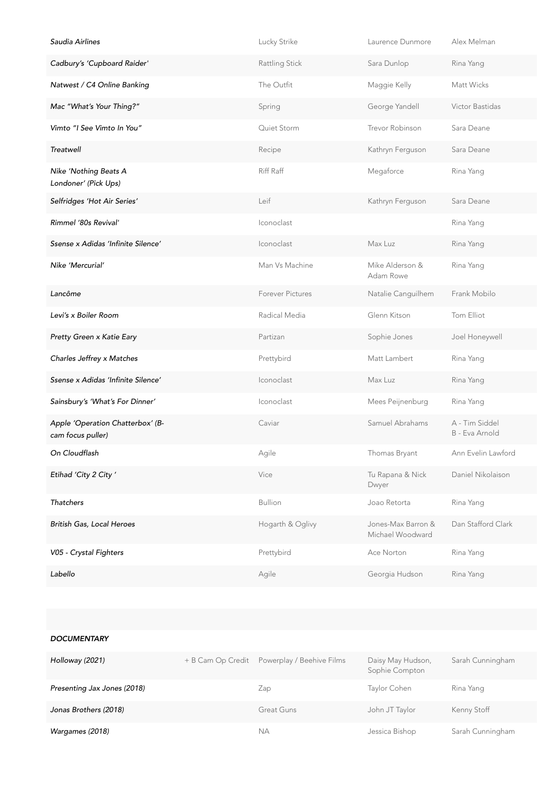| Saudia Airlines                                       | Lucky Strike     | Laurence Dunmore                       | Alex Melman                      |
|-------------------------------------------------------|------------------|----------------------------------------|----------------------------------|
| Cadbury's 'Cupboard Raider'                           | Rattling Stick   | Sara Dunlop                            | Rina Yang                        |
| Natwest / C4 Online Banking                           | The Outfit       | Maggie Kelly                           | Matt Wicks                       |
| Mac "What's Your Thing?"                              | Spring           | George Yandell                         | Victor Bastidas                  |
| Vimto "I See Vimto In You"                            | Quiet Storm      | Trevor Robinson                        | Sara Deane                       |
| Treatwell                                             | Recipe           | Kathryn Ferguson                       | Sara Deane                       |
| Nike 'Nothing Beats A<br>Londoner' (Pick Ups)         | Riff Raff        | Megaforce                              | Rina Yang                        |
| Selfridges 'Hot Air Series'                           | Leif             | Kathryn Ferguson                       | Sara Deane                       |
| Rimmel '80s Revival'                                  | Iconoclast       |                                        | Rina Yang                        |
| Ssense x Adidas 'Infinite Silence'                    | Iconoclast       | Max Luz                                | Rina Yang                        |
| Nike 'Mercurial'                                      | Man Vs Machine   | Mike Alderson &<br>Adam Rowe           | Rina Yang                        |
| Lancôme                                               | Forever Pictures | Natalie Canguilhem                     | Frank Mobilo                     |
| Levi's x Boiler Room                                  | Radical Media    | Glenn Kitson                           | Tom Elliot                       |
| Pretty Green x Katie Eary                             | Partizan         | Sophie Jones                           | Joel Honeywell                   |
| Charles Jeffrey x Matches                             | Prettybird       | Matt Lambert                           | Rina Yang                        |
| Ssense x Adidas 'Infinite Silence'                    | Iconoclast       | Max Luz                                | Rina Yang                        |
| Sainsbury's 'What's For Dinner'                       | Iconoclast       | Mees Peijnenburg                       | Rina Yang                        |
| Apple 'Operation Chatterbox' (B-<br>cam focus puller) | Caviar           | Samuel Abrahams                        | A - Tim Siddel<br>B - Eva Arnold |
| On Cloudflash                                         | Agile            | Thomas Bryant                          | Ann Evelin Lawford               |
| Etihad 'City 2 City'                                  | Vice             | Tu Rapana & Nick<br>Dwyer              | Daniel Nikolaison                |
| <b>Thatchers</b>                                      | <b>Bullion</b>   | Joao Retorta                           | Rina Yang                        |
| British Gas, Local Heroes                             | Hogarth & Oglivy | Jones-Max Barron &<br>Michael Woodward | Dan Stafford Clark               |
| V05 - Crystal Fighters                                | Prettybird       | Ace Norton                             | Rina Yang                        |
| Labello                                               | Agile            | Georgia Hudson                         | Rina Yang                        |

#### *DOCUMENTARY*

| Holloway (2021)             | + B Cam Op Credit Powerplay / Beehive Films | Daisy May Hudson,<br>Sophie Compton | Sarah Cunningham |
|-----------------------------|---------------------------------------------|-------------------------------------|------------------|
| Presenting Jax Jones (2018) | Zap                                         | Taylor Cohen                        | Rina Yang        |
| Jonas Brothers (2018)       | Great Guns                                  | John JT Taylor                      | Kenny Stoff      |
| Wargames (2018)             | ΝA                                          | Jessica Bishop                      | Sarah Cunningham |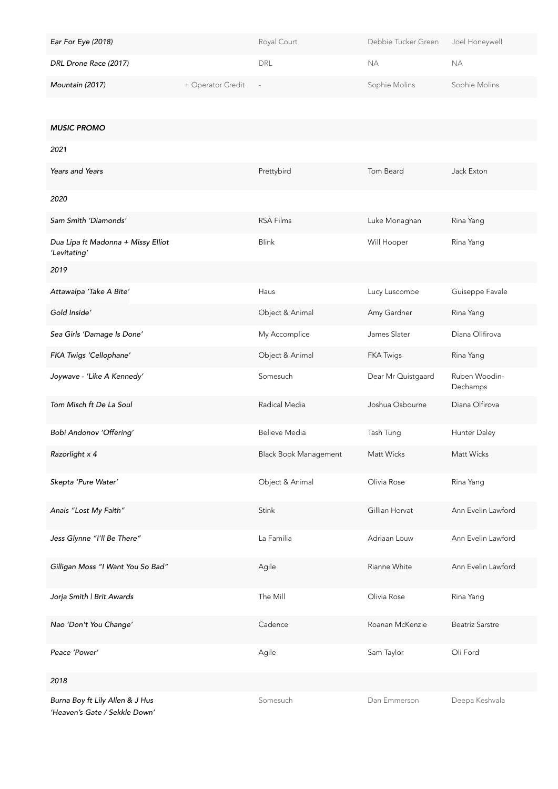| Ear For Eye (2018)    |                   | Royal Court | Debbie Tucker Green | Joel Honeywell |
|-----------------------|-------------------|-------------|---------------------|----------------|
| DRL Drone Race (2017) |                   | DRL         | NА                  | NА             |
| Mountain (2017)       | + Operator Credit |             | Sophie Molins       | Sophie Molins  |

*MUSIC PROMO*

| 2021                                                             |                              |                    |                           |
|------------------------------------------------------------------|------------------------------|--------------------|---------------------------|
| Years and Years                                                  | Prettybird                   | Tom Beard          | Jack Exton                |
| 2020                                                             |                              |                    |                           |
| Sam Smith 'Diamonds'                                             | <b>RSA Films</b>             | Luke Monaghan      | Rina Yang                 |
| Dua Lipa ft Madonna + Missy Elliot<br>'Levitating'               | <b>Blink</b>                 | Will Hooper        | Rina Yang                 |
| 2019                                                             |                              |                    |                           |
| Attawalpa 'Take A Bite'                                          | Haus                         | Lucy Luscombe      | Guiseppe Favale           |
| Gold Inside'                                                     | Object & Animal              | Amy Gardner        | Rina Yang                 |
| Sea Girls 'Damage Is Done'                                       | My Accomplice                | James Slater       | Diana Olifirova           |
| FKA Twigs 'Cellophane'                                           | Object & Animal              | <b>FKA Twigs</b>   | Rina Yang                 |
| Joywave - 'Like A Kennedy'                                       | Somesuch                     | Dear Mr Quistgaard | Ruben Woodin-<br>Dechamps |
| Tom Misch ft De La Soul                                          | Radical Media                | Joshua Osbourne    | Diana Olfirova            |
| Bobi Andonov 'Offering'                                          | <b>Believe Media</b>         | Tash Tung          | Hunter Daley              |
| Razorlight x 4                                                   | <b>Black Book Management</b> | Matt Wicks         | Matt Wicks                |
| Skepta 'Pure Water'                                              | Object & Animal              | Olivia Rose        | Rina Yang                 |
| Anais "Lost My Faith"                                            | Stink                        | Gillian Horvat     | Ann Evelin Lawford        |
| Jess Glynne "I'll Be There"                                      | La Familia                   | Adriaan Louw       | Ann Evelin Lawford        |
| Gilligan Moss "I Want You So Bad"                                | Agile                        | Rianne White       | Ann Evelin Lawford        |
| Jorja Smith   Brit Awards                                        | The Mill                     | Olivia Rose        | Rina Yang                 |
| Nao 'Don't You Change'                                           | Cadence                      | Roanan McKenzie    | <b>Beatriz Sarstre</b>    |
| Peace 'Power'                                                    | Agile                        | Sam Taylor         | Oli Ford                  |
| 2018                                                             |                              |                    |                           |
| Burna Boy ft Lily Allen & J Hus<br>'Heaven's Gate / Sekkle Down' | Somesuch                     | Dan Emmerson       | Deepa Keshvala            |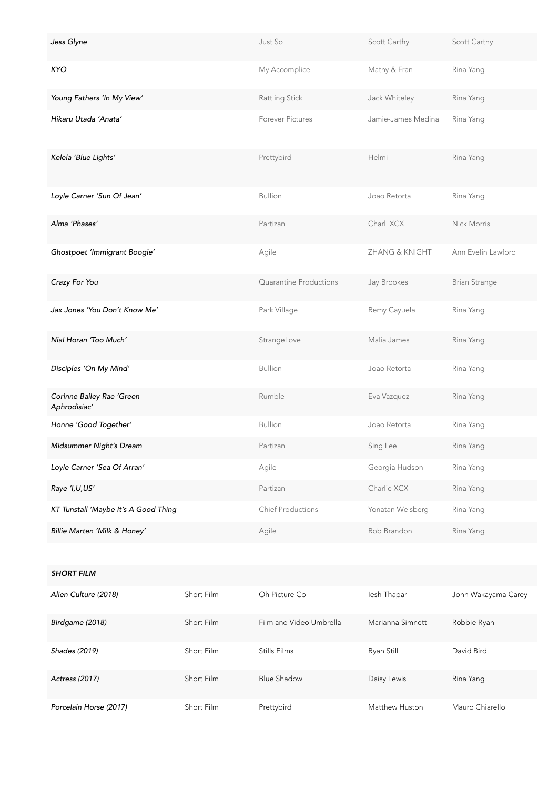| Jess Glyne                                |            | Just So                  | Scott Carthy       | Scott Carthy         |
|-------------------------------------------|------------|--------------------------|--------------------|----------------------|
| <b>KYO</b>                                |            | My Accomplice            | Mathy & Fran       | Rina Yang            |
| Young Fathers 'In My View'                |            | Rattling Stick           | Jack Whiteley      | Rina Yang            |
| Hikaru Utada 'Anata'                      |            | <b>Forever Pictures</b>  | Jamie-James Medina | Rina Yang            |
| Kelela 'Blue Lights'                      |            | Prettybird               | Helmi              | Rina Yang            |
| Loyle Carner 'Sun Of Jean'                |            | <b>Bullion</b>           | Joao Retorta       | Rina Yang            |
| Alma 'Phases'                             |            | Partizan                 | Charli XCX         | Nick Morris          |
| Ghostpoet 'Immigrant Boogie'              |            | Agile                    | ZHANG & KNIGHT     | Ann Evelin Lawford   |
| Crazy For You                             |            | Quarantine Productions   | Jay Brookes        | <b>Brian Strange</b> |
| Jax Jones 'You Don't Know Me'             |            | Park Village             | Remy Cayuela       | Rina Yang            |
| Nial Horan 'Too Much'                     |            | StrangeLove              | Malia James        | Rina Yang            |
| Disciples 'On My Mind'                    |            | <b>Bullion</b>           | Joao Retorta       | Rina Yang            |
| Corinne Bailey Rae 'Green<br>Aphrodisiac' |            | Rumble                   | Eva Vazquez        | Rina Yang            |
| Honne 'Good Together'                     |            | <b>Bullion</b>           | Joao Retorta       | Rina Yang            |
| Midsummer Night's Dream                   |            | Partizan                 | Sing Lee           | Rina Yang            |
| Loyle Carner 'Sea Of Arran'               |            | Agile                    | Georgia Hudson     | Rina Yang            |
| Raye 'I, U, US'                           |            | Partizan                 | Charlie XCX        | Rina Yang            |
| KT Tunstall 'Maybe It's A Good Thing      |            | <b>Chief Productions</b> | Yonatan Weisberg   | Rina Yang            |
| Billie Marten 'Milk & Honey'              |            | Agile                    | Rob Brandon        | Rina Yang            |
|                                           |            |                          |                    |                      |
| <b>SHORT FILM</b>                         |            |                          |                    |                      |
| Alien Culture (2018)                      | Short Film | Oh Picture Co            | lesh Thapar        | John Wakayama Carey  |
| Birdgame (2018)                           | Short Film | Film and Video Umbrella  | Marianna Simnett   | Robbie Ryan          |
| Shades (2019)                             | Short Film | Stills Films             | Ryan Still         | David Bird           |

Actress (2017) **Short Film** Blue Shadow **Daisy Lewis** Rina Yang Porcelain Horse (2017) Short Film Prettybird Matthew Huston Mauro Chiarello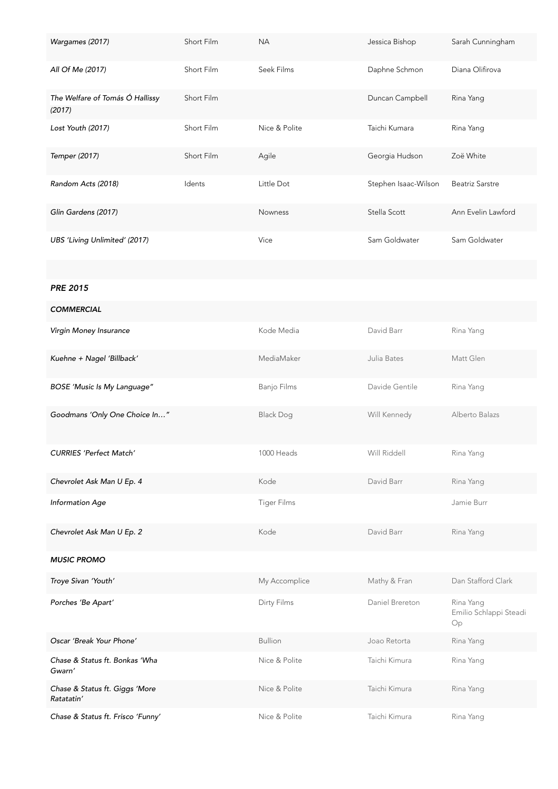| Wargames (2017)                              | Short Film | <b>NA</b>          | Jessica Bishop       | Sarah Cunningham                          |
|----------------------------------------------|------------|--------------------|----------------------|-------------------------------------------|
| All Of Me (2017)                             | Short Film | Seek Films         | Daphne Schmon        | Diana Olifirova                           |
| The Welfare of Tomás Ó Hallissy<br>(2017)    | Short Film |                    | Duncan Campbell      | Rina Yang                                 |
| Lost Youth (2017)                            | Short Film | Nice & Polite      | Taichi Kumara        | Rina Yang                                 |
| Temper (2017)                                | Short Film | Agile              | Georgia Hudson       | Zoë White                                 |
| Random Acts (2018)                           | Idents     | Little Dot         | Stephen Isaac-Wilson | <b>Beatriz Sarstre</b>                    |
| Glin Gardens (2017)                          |            | Nowness            | Stella Scott         | Ann Evelin Lawford                        |
| UBS 'Living Unlimited' (2017)                |            | Vice               | Sam Goldwater        | Sam Goldwater                             |
|                                              |            |                    |                      |                                           |
| <b>PRE 2015</b>                              |            |                    |                      |                                           |
| <b>COMMERCIAL</b>                            |            |                    |                      |                                           |
| Virgin Money Insurance                       |            | Kode Media         | David Barr           | Rina Yang                                 |
| Kuehne + Nagel 'Billback'                    |            | MediaMaker         | Julia Bates          | Matt Glen                                 |
| <b>BOSE</b> 'Music Is My Language"           |            | <b>Banjo Films</b> | Davide Gentile       | Rina Yang                                 |
| Goodmans 'Only One Choice In"                |            | <b>Black Dog</b>   | Will Kennedy         | Alberto Balazs                            |
| <b>CURRIES 'Perfect Match'</b>               |            | 1000 Heads         | Will Riddell         | Rina Yang                                 |
| Chevrolet Ask Man U Ep. 4                    |            | Kode               | David Barr           | Rina Yang                                 |
| <b>Information Age</b>                       |            | <b>Tiger Films</b> |                      | Jamie Burr                                |
| Chevrolet Ask Man U Ep. 2                    |            | Kode               | David Barr           | Rina Yang                                 |
| <b>MUSIC PROMO</b>                           |            |                    |                      |                                           |
| Troye Sivan 'Youth'                          |            | My Accomplice      | Mathy & Fran         | Dan Stafford Clark                        |
| Porches 'Be Apart'                           |            | Dirty Films        | Daniel Brereton      | Rina Yang<br>Emilio Schlappi Steadi<br>Op |
| Oscar 'Break Your Phone'                     |            | <b>Bullion</b>     | Joao Retorta         | Rina Yang                                 |
| Chase & Status ft. Bonkas 'Wha<br>Gwarn'     |            | Nice & Polite      | Taichi Kimura        | Rina Yang                                 |
| Chase & Status ft. Giggs 'More<br>Ratatatin' |            | Nice & Polite      | Taichi Kimura        | Rina Yang                                 |
| Chase & Status ft. Frisco 'Funny'            |            | Nice & Polite      | Taichi Kimura        | Rina Yang                                 |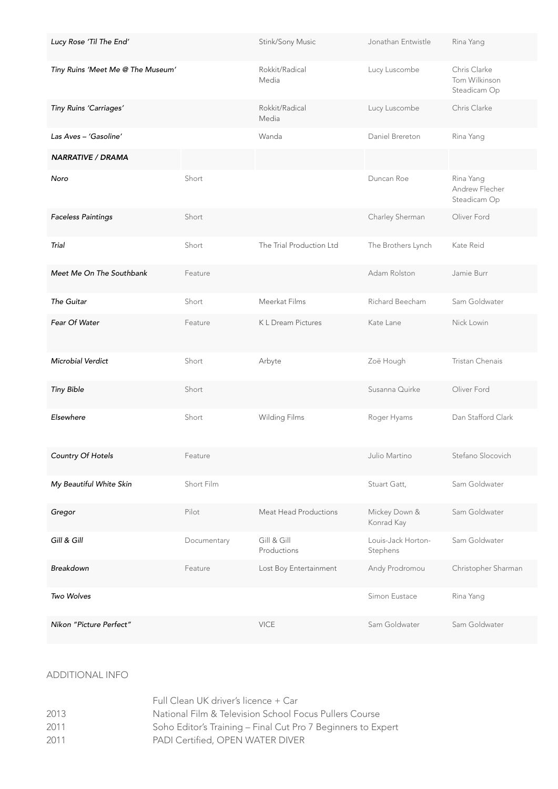| Lucy Rose 'Til The End'           |             | Stink/Sony Music           | Jonathan Entwistle             | Rina Yang                                     |
|-----------------------------------|-------------|----------------------------|--------------------------------|-----------------------------------------------|
| Tiny Ruins 'Meet Me @ The Museum' |             | Rokkit/Radical<br>Media    | Lucy Luscombe                  | Chris Clarke<br>Tom Wilkinson<br>Steadicam Op |
| Tiny Ruins 'Carriages'            |             | Rokkit/Radical<br>Media    | Lucy Luscombe                  | Chris Clarke                                  |
| Las Aves – 'Gasoline'             |             | Wanda                      | Daniel Brereton                | Rina Yang                                     |
| <b>NARRATIVE / DRAMA</b>          |             |                            |                                |                                               |
| Noro                              | Short       |                            | Duncan Roe                     | Rina Yang<br>Andrew Flecher<br>Steadicam Op   |
| <b>Faceless Paintings</b>         | Short       |                            | Charley Sherman                | Oliver Ford                                   |
| Trial                             | Short       | The Trial Production Ltd   | The Brothers Lynch             | Kate Reid                                     |
| Meet Me On The Southbank          | Feature     |                            | Adam Rolston                   | Jamie Burr                                    |
| The Guitar                        | Short       | Meerkat Films              | Richard Beecham                | Sam Goldwater                                 |
| Fear Of Water                     | Feature     | K L Dream Pictures         | Kate Lane                      | Nick Lowin                                    |
| Microbial Verdict                 | Short       | Arbyte                     | Zoë Hough                      | Tristan Chenais                               |
| <b>Tiny Bible</b>                 | Short       |                            | Susanna Quirke                 | Oliver Ford                                   |
| Elsewhere                         | Short       | Wilding Films              | Roger Hyams                    | Dan Stafford Clark                            |
| Country Of Hotels                 | Feature     |                            | Julio Martino                  | Stefano Slocovich                             |
| My Beautiful White Skin           | Short Film  |                            | Stuart Gatt,                   | Sam Goldwater                                 |
| Gregor                            | Pilot       | Meat Head Productions      | Mickey Down &<br>Konrad Kay    | Sam Goldwater                                 |
| Gill & Gill                       | Documentary | Gill & Gill<br>Productions | Louis-Jack Horton-<br>Stephens | Sam Goldwater                                 |
| Breakdown                         | Feature     | Lost Boy Entertainment     | Andy Prodromou                 | Christopher Sharman                           |
| Two Wolves                        |             |                            | Simon Eustace                  | Rina Yang                                     |
| Nikon "Picture Perfect"           |             | <b>VICE</b>                | Sam Goldwater                  | Sam Goldwater                                 |

# ADDITIONAL INFO

|      | Full Clean UK driver's licence + Car                         |
|------|--------------------------------------------------------------|
| 2013 | National Film & Television School Focus Pullers Course       |
| 2011 | Soho Editor's Training - Final Cut Pro 7 Beginners to Expert |
| 2011 | PADI Certified, OPEN WATER DIVER                             |